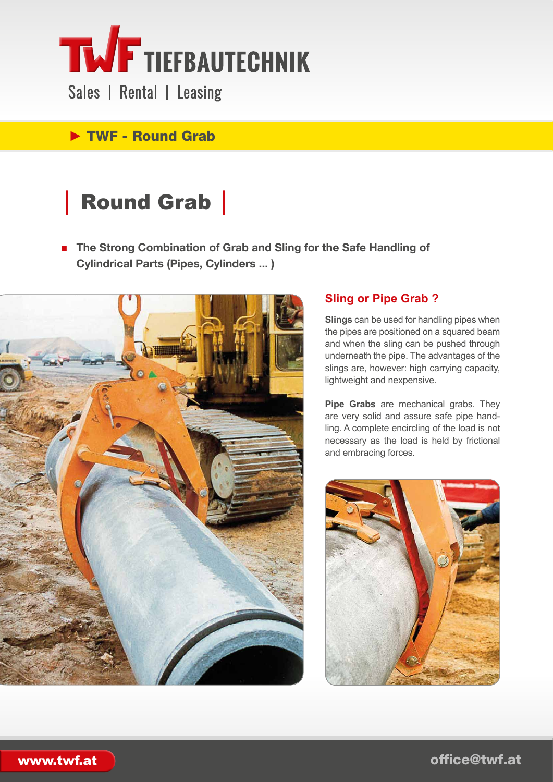

Sales | Rental | Leasing

# ► TWF - Round Grab

# │ Round Grab │

■ **The Strong Combination of Grab and Sling for the Safe Handling of Cylindrical Parts (Pipes, Cylinders ... )**



### **Sling or Pipe Grab ?**

**Slings** can be used for handling pipes when the pipes are positioned on a squared beam and when the sling can be pushed through underneath the pipe. The advantages of the slings are, however: high carrying capacity, lightweight and nexpensive.

**Pipe Grabs** are mechanical grabs. They are very solid and assure safe pipe handling. A complete encircling of the load is not necessary as the load is held by frictional and embracing forces.